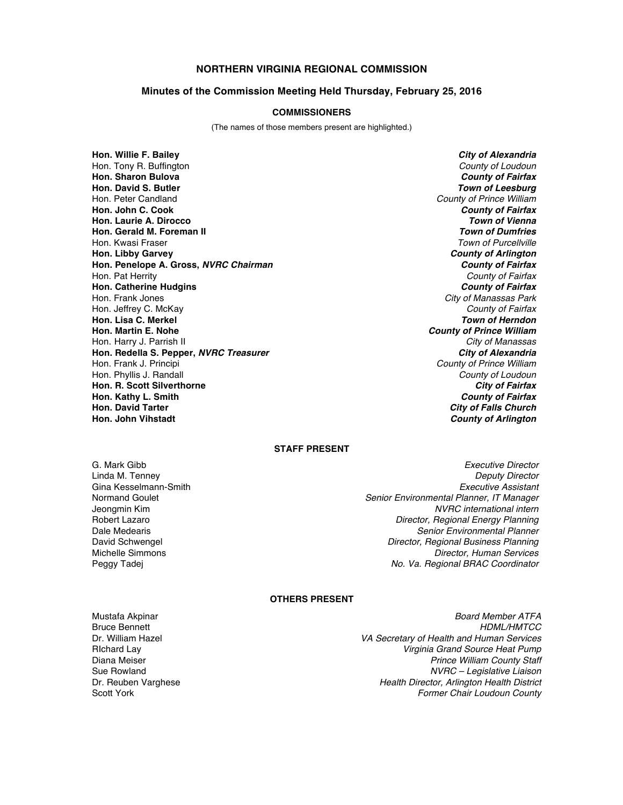## **NORTHERN VIRGINIA REGIONAL COMMISSION**

#### **Minutes of the Commission Meeting Held Thursday, February 25, 2016**

#### **COMMISSIONERS**

(The names of those members present are highlighted.)

**Hon. Willie F. Bailey** *City of Alexandria* Hon. Tony R. Buffington *County of Loudoun* **Hon. Sharon Bulova** *County of Fairfax* **Hon. David S. Butler** *Town of Leesburg* Hon. Peter Candland *County of Prince William* **Hon. John C. Cook** *County of Fairfax* **Hon. Laurie A. Dirocco** *Town of Vienna* **Hon. Gerald M. Foreman II** Hon. Kwasi Fraser *Town of Purcellville* **Hon. Libby Garvey** *County of Arlington* **Hon. Penelope A. Gross,** *NVRC Chairman County of Fairfax* Hon. Pat Herrity *County of Fairfax* **Hon. Catherine Hudgins** *County of Fairfax* Hon. Frank Jones *City of Manassas Park* Hon. Jeffrey C. McKay *County of Fairfax* **Hon. Lisa C. Merkel** *Hon. Martin E. Nohe* Hon. Harry J. Parrish II *City of Manassas* **Hon. Redella S. Pepper,** *NVRC Treasurer* Hon. Frank J. Principi *County of Prince William* Hon. Phyllis J. Randall *County of Loudoun* **Hon. R. Scott Silverthorne** *City of Fairfax* **Hon. Kathy L. Smith** *County of Fairfax* **Hon. David Tarter** *City of Falls Church*

**County of Prince William County of Arlington** 

#### **STAFF PRESENT**

G. Mark Gibb *Executive Director* Gina Kesselmann-Smith<br>Normand Goulet

Linda M. Tenney *Deputy Director* Normand Goulet *Senior Environmental Planner, IT Manager* Jeongmin Kim *NVRC international intern* **Director, Regional Energy Planning** Dale Medearis *Senior Environmental Planner* David Schwengel *Director, Regional Business Planning* Michelle Simmons *Director, Human Services* Peggy Tadej *No. Va. Regional BRAC Coordinator*

#### **OTHERS PRESENT**

Bruce Bennett<br>Dr. William Hazel

Mustafa Akpinar *Board Member ATFA* Dr. William Hazel *VA Secretary of Health and Human Services* **Virginia Grand Source Heat Pump** Diana Meiser *Prince William County Staff* Sue Rowland *NVRC – Legislative Liaison* Dr. Reuben Varghese *Health Director, Arlington Health District* **Former Chair Loudoun County**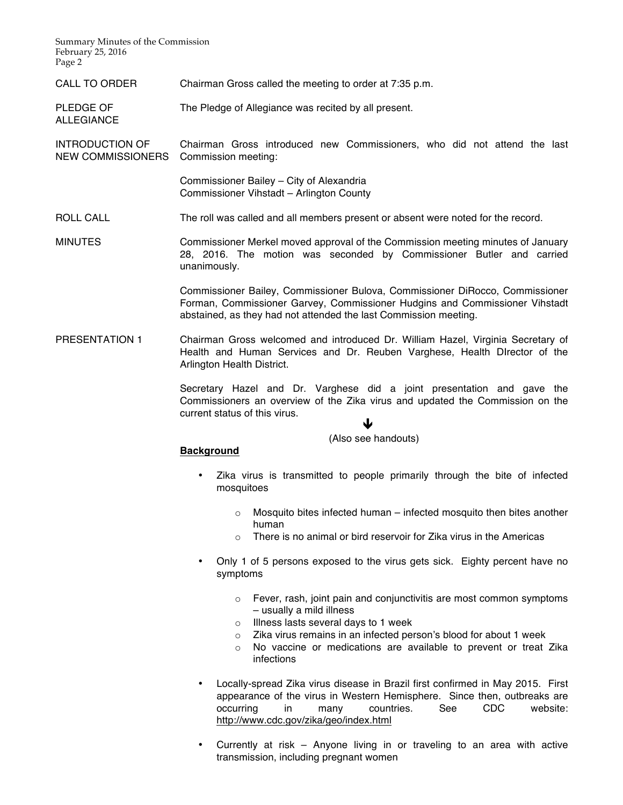Summary Minutes of the Commission February 25, 2016 Page 2

ALLEGIANCE

CALL TO ORDER Chairman Gross called the meeting to order at 7:35 p.m.

PLEDGE OF The Pledge of Allegiance was recited by all present.

INTRODUCTION OF NEW COMMISSIONERS Commission meeting: Chairman Gross introduced new Commissioners, who did not attend the last

> Commissioner Bailey – City of Alexandria Commissioner Vihstadt – Arlington County

ROLL CALL The roll was called and all members present or absent were noted for the record.

MINUTES Commissioner Merkel moved approval of the Commission meeting minutes of January 28, 2016. The motion was seconded by Commissioner Butler and carried unanimously.

> Commissioner Bailey, Commissioner Bulova, Commissioner DiRocco, Commissioner Forman, Commissioner Garvey, Commissioner Hudgins and Commissioner Vihstadt abstained, as they had not attended the last Commission meeting.

PRESENTATION 1 Chairman Gross welcomed and introduced Dr. William Hazel, Virginia Secretary of Health and Human Services and Dr. Reuben Varghese, Health DIrector of the Arlington Health District.

> Secretary Hazel and Dr. Varghese did a joint presentation and gave the Commissioners an overview of the Zika virus and updated the Commission on the current status of this virus.

# $\blacklozenge$

# (Also see handouts)

#### **Background**

- Zika virus is transmitted to people primarily through the bite of infected mosquitoes
	- $\circ$  Mosquito bites infected human infected mosquito then bites another human
	- o There is no animal or bird reservoir for Zika virus in the Americas
- Only 1 of 5 persons exposed to the virus gets sick. Eighty percent have no symptoms
	- o Fever, rash, joint pain and conjunctivitis are most common symptoms – usually a mild illness
	- o Illness lasts several days to 1 week
	- o Zika virus remains in an infected person's blood for about 1 week
	- $\circ$  No vaccine or medications are available to prevent or treat Zika infections
- Locally-spread Zika virus disease in Brazil first confirmed in May 2015. First appearance of the virus in Western Hemisphere. Since then, outbreaks are occurring in many countries. See CDC website: http://www.cdc.gov/zika/geo/index.html
- Currently at risk Anyone living in or traveling to an area with active transmission, including pregnant women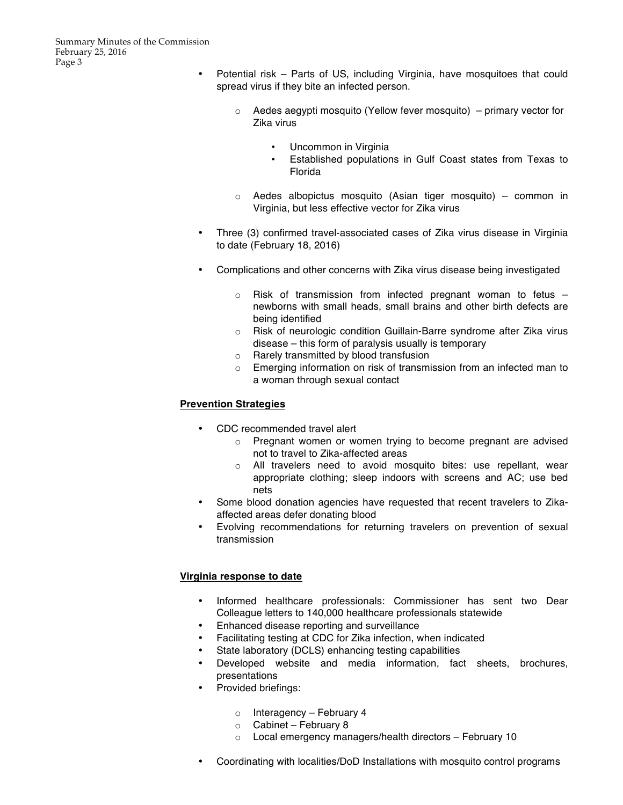- Potential risk Parts of US, including Virginia, have mosquitoes that could spread virus if they bite an infected person.
	- o Aedes aegypti mosquito (Yellow fever mosquito) primary vector for Zika virus
		- Uncommon in Virginia
		- Established populations in Gulf Coast states from Texas to Florida
	- o Aedes albopictus mosquito (Asian tiger mosquito) common in Virginia, but less effective vector for Zika virus
- Three (3) confirmed travel-associated cases of Zika virus disease in Virginia to date (February 18, 2016)
- Complications and other concerns with Zika virus disease being investigated
	- $\circ$  Risk of transmission from infected pregnant woman to fetus  $$ newborns with small heads, small brains and other birth defects are being identified
	- o Risk of neurologic condition Guillain-Barre syndrome after Zika virus disease – this form of paralysis usually is temporary
	- o Rarely transmitted by blood transfusion
	- o Emerging information on risk of transmission from an infected man to a woman through sexual contact

# **Prevention Strategies**

- CDC recommended travel alert
	- o Pregnant women or women trying to become pregnant are advised not to travel to Zika-affected areas
	- o All travelers need to avoid mosquito bites: use repellant, wear appropriate clothing; sleep indoors with screens and AC; use bed nets
- Some blood donation agencies have requested that recent travelers to Zikaaffected areas defer donating blood
- Evolving recommendations for returning travelers on prevention of sexual transmission

# **Virginia response to date**

- Informed healthcare professionals: Commissioner has sent two Dear Colleague letters to 140,000 healthcare professionals statewide
- Enhanced disease reporting and surveillance
- Facilitating testing at CDC for Zika infection, when indicated
- State laboratory (DCLS) enhancing testing capabilities
- Developed website and media information, fact sheets, brochures, presentations
- Provided briefings:
	- o Interagency February 4
	- o Cabinet February 8
	- o Local emergency managers/health directors February 10
- Coordinating with localities/DoD Installations with mosquito control programs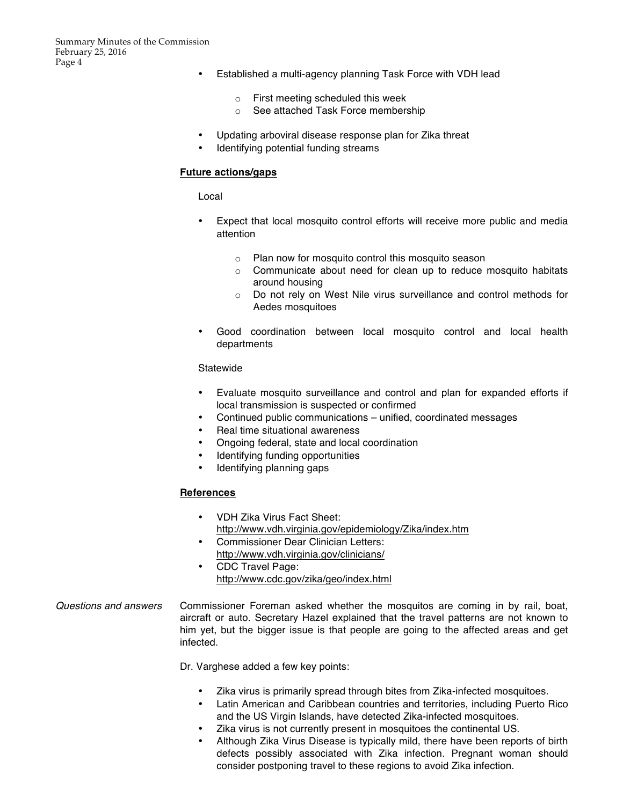- Established a multi-agency planning Task Force with VDH lead
	- o First meeting scheduled this week
	- o See attached Task Force membership
- Updating arboviral disease response plan for Zika threat
- Identifying potential funding streams

### **Future actions/gaps**

Local

- Expect that local mosquito control efforts will receive more public and media attention
	- o Plan now for mosquito control this mosquito season
	- $\circ$  Communicate about need for clean up to reduce mosquito habitats around housing
	- o Do not rely on West Nile virus surveillance and control methods for Aedes mosquitoes
- Good coordination between local mosquito control and local health departments

#### **Statewide**

- Evaluate mosquito surveillance and control and plan for expanded efforts if local transmission is suspected or confirmed
- Continued public communications unified, coordinated messages
- Real time situational awareness
- Ongoing federal, state and local coordination
- Identifying funding opportunities
- Identifying planning gaps

## **References**

- VDH Zika Virus Fact Sheet: http://www.vdh.virginia.gov/epidemiology/Zika/index.htm
- Commissioner Dear Clinician Letters: http://www.vdh.virginia.gov/clinicians/
- CDC Travel Page: http://www.cdc.gov/zika/geo/index.html

## *Questions and answers* Commissioner Foreman asked whether the mosquitos are coming in by rail, boat, aircraft or auto. Secretary Hazel explained that the travel patterns are not known to him yet, but the bigger issue is that people are going to the affected areas and get infected.

Dr. Varghese added a few key points:

- Zika virus is primarily spread through bites from Zika-infected mosquitoes.
- Latin American and Caribbean countries and territories, including Puerto Rico and the US Virgin Islands, have detected Zika-infected mosquitoes.
- Zika virus is not currently present in mosquitoes the continental US.
- Although Zika Virus Disease is typically mild, there have been reports of birth defects possibly associated with Zika infection. Pregnant woman should consider postponing travel to these regions to avoid Zika infection.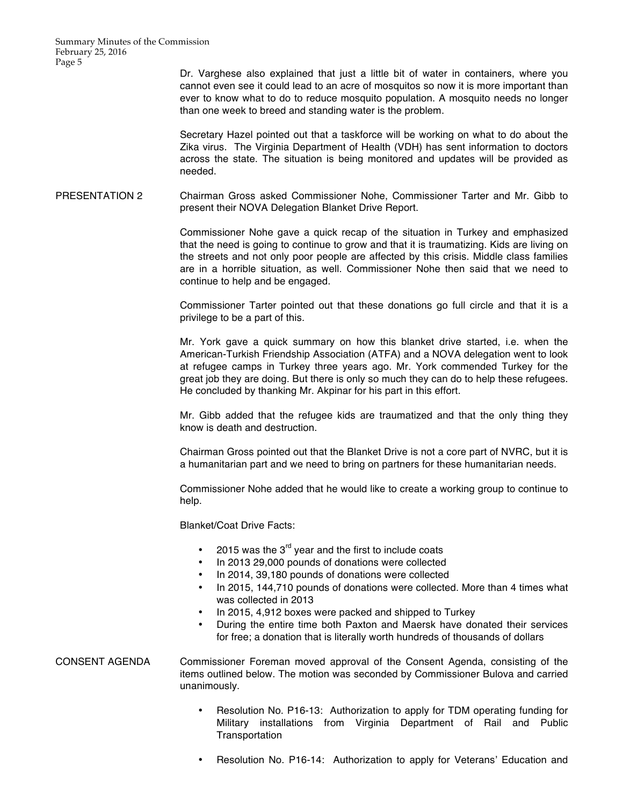Dr. Varghese also explained that just a little bit of water in containers, where you cannot even see it could lead to an acre of mosquitos so now it is more important than ever to know what to do to reduce mosquito population. A mosquito needs no longer than one week to breed and standing water is the problem.

Secretary Hazel pointed out that a taskforce will be working on what to do about the Zika virus. The Virginia Department of Health (VDH) has sent information to doctors across the state. The situation is being monitored and updates will be provided as needed.

PRESENTATION 2 Chairman Gross asked Commissioner Nohe, Commissioner Tarter and Mr. Gibb to present their NOVA Delegation Blanket Drive Report.

> Commissioner Nohe gave a quick recap of the situation in Turkey and emphasized that the need is going to continue to grow and that it is traumatizing. Kids are living on the streets and not only poor people are affected by this crisis. Middle class families are in a horrible situation, as well. Commissioner Nohe then said that we need to continue to help and be engaged.

> Commissioner Tarter pointed out that these donations go full circle and that it is a privilege to be a part of this.

> Mr. York gave a quick summary on how this blanket drive started, i.e. when the American-Turkish Friendship Association (ATFA) and a NOVA delegation went to look at refugee camps in Turkey three years ago. Mr. York commended Turkey for the great job they are doing. But there is only so much they can do to help these refugees. He concluded by thanking Mr. Akpinar for his part in this effort.

> Mr. Gibb added that the refugee kids are traumatized and that the only thing they know is death and destruction.

> Chairman Gross pointed out that the Blanket Drive is not a core part of NVRC, but it is a humanitarian part and we need to bring on partners for these humanitarian needs.

> Commissioner Nohe added that he would like to create a working group to continue to help.

Blanket/Coat Drive Facts:

- 2015 was the  $3<sup>rd</sup>$  year and the first to include coats
- In 2013 29,000 pounds of donations were collected
- In 2014, 39,180 pounds of donations were collected
- In 2015, 144,710 pounds of donations were collected. More than 4 times what was collected in 2013
- In 2015, 4,912 boxes were packed and shipped to Turkey
- During the entire time both Paxton and Maersk have donated their services for free; a donation that is literally worth hundreds of thousands of dollars

CONSENT AGENDA Commissioner Foreman moved approval of the Consent Agenda, consisting of the items outlined below. The motion was seconded by Commissioner Bulova and carried unanimously.

- Resolution No. P16-13: Authorization to apply for TDM operating funding for Military installations from Virginia Department of Rail and Public **Transportation**
- Resolution No. P16-14: Authorization to apply for Veterans' Education and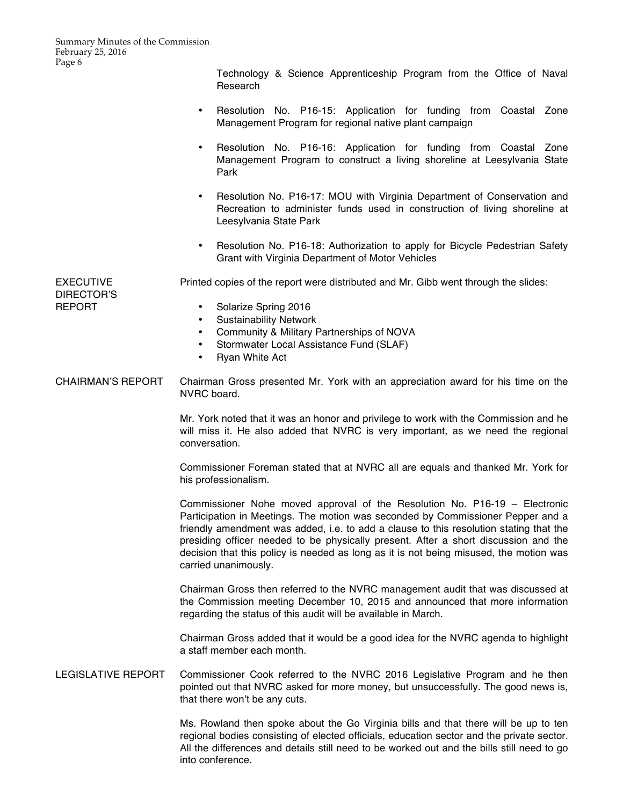Technology & Science Apprenticeship Program from the Office of Naval Research

- Resolution No. P16-15: Application for funding from Coastal Zone Management Program for regional native plant campaign
- Resolution No. P16-16: Application for funding from Coastal Zone Management Program to construct a living shoreline at Leesylvania State Park
- Resolution No. P16-17: MOU with Virginia Department of Conservation and Recreation to administer funds used in construction of living shoreline at Leesylvania State Park
- Resolution No. P16-18: Authorization to apply for Bicycle Pedestrian Safety Grant with Virginia Department of Motor Vehicles

EXECUTIVE DIRECTOR'S Printed copies of the report were distributed and Mr. Gibb went through the slides:

REPORT

- Solarize Spring 2016
- Sustainability Network
- Community & Military Partnerships of NOVA
- Stormwater Local Assistance Fund (SLAF)
- Ryan White Act
- CHAIRMAN'S REPORT Chairman Gross presented Mr. York with an appreciation award for his time on the NVRC board.

Mr. York noted that it was an honor and privilege to work with the Commission and he will miss it. He also added that NVRC is very important, as we need the regional conversation.

Commissioner Foreman stated that at NVRC all are equals and thanked Mr. York for his professionalism.

Commissioner Nohe moved approval of the Resolution No. P16-19 – Electronic Participation in Meetings. The motion was seconded by Commissioner Pepper and a friendly amendment was added, i.e. to add a clause to this resolution stating that the presiding officer needed to be physically present. After a short discussion and the decision that this policy is needed as long as it is not being misused, the motion was carried unanimously.

Chairman Gross then referred to the NVRC management audit that was discussed at the Commission meeting December 10, 2015 and announced that more information regarding the status of this audit will be available in March.

Chairman Gross added that it would be a good idea for the NVRC agenda to highlight a staff member each month.

LEGISLATIVE REPORT Commissioner Cook referred to the NVRC 2016 Legislative Program and he then pointed out that NVRC asked for more money, but unsuccessfully. The good news is, that there won't be any cuts.

> Ms. Rowland then spoke about the Go Virginia bills and that there will be up to ten regional bodies consisting of elected officials, education sector and the private sector. All the differences and details still need to be worked out and the bills still need to go into conference.